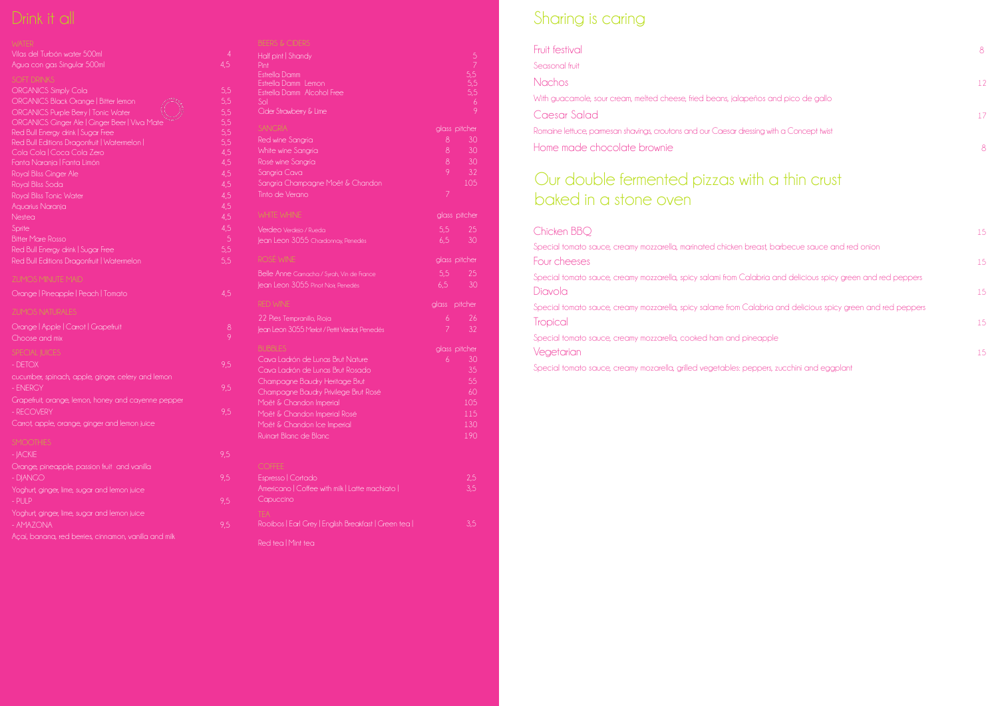| Fruit festival                                                                            | 8. |
|-------------------------------------------------------------------------------------------|----|
| Seasonal fruit                                                                            |    |
| Nachos <sub>,</sub>                                                                       | 12 |
| With guacamole, sour cream, melted cheese, fried beans, jalapeños and pico de gallo       |    |
| Caesar Salad                                                                              | 17 |
| Romaine lettuce, parmesan shavings, croutons and our Caesar dressing with a Concept twist |    |
| Home made chocolate brownie                                                               | 8  |

## a thin crust

| <b>FIUIL IESIIVAI</b>                                                                                         | Ŏ  |
|---------------------------------------------------------------------------------------------------------------|----|
| Seasonal fruit                                                                                                |    |
| <b>Nachos</b>                                                                                                 | 12 |
| With guacamole, sour cream, melted cheese, fried beans, jalapeños and pico de gallo                           |    |
| Caesar Salad                                                                                                  | 17 |
| Romaine lettuce, parmesan shavings, croutons and our Caesar dressing with a Concept twist                     |    |
| Home made chocolate brownie                                                                                   | 8  |
| baked in a stone oven<br>Chicken BBQ                                                                          |    |
| Special tomato sauce, creamy mozzarella, marinated chicken breast, barbecue sauce and red onion               | 15 |
| Four cheeses                                                                                                  | 15 |
| Special tomato sauce, creamy mozzarella, spicy salami from Calabria and delicious spicy green and red peppers |    |
| Diavola                                                                                                       | 15 |
| Special tomato sauce, creamy mozzarella, spicy salame from Calabria and delicious spicy green and red peppers |    |
| <b>Tropical</b>                                                                                               | 15 |

| Chicken BBQ                                                                                                   | 15 |
|---------------------------------------------------------------------------------------------------------------|----|
| Special tomato sauce, creamy mozzarella, marinated chicken breast, barbecue sauce and red onion               |    |
| Four cheeses                                                                                                  | 15 |
| Special tomato sauce, creamy mozzarella, spicy salami from Calabria and delicious spicy green and red peppers |    |
| Diavola                                                                                                       | 15 |
| Special tomato sauce, creamy mozzarella, spicy salame from Calabria and delicious spicy green and red peppers |    |
| <b>Tropical</b>                                                                                               | 15 |
| Special tomato sauce, creamy mozzarella, cooked ham and pineapple                                             |    |
| Vegetarian                                                                                                    | 15 |
|                                                                                                               |    |

Special tomato sauce, creamy mozarella, grilled vegetables: peppers, zucchini and eggplant

| Vilas del Turbón water 500ml<br>Agua con gas Singular 500ml                                                                                                                                                                                                                                                                                                                                                                                                                                                                                                                  | $\overline{4}$<br>4,5                                                                                             |
|------------------------------------------------------------------------------------------------------------------------------------------------------------------------------------------------------------------------------------------------------------------------------------------------------------------------------------------------------------------------------------------------------------------------------------------------------------------------------------------------------------------------------------------------------------------------------|-------------------------------------------------------------------------------------------------------------------|
| <b>SOFT DRINKS</b><br><b>ORGANICS Simply Cola</b><br>ORGANICS Black Orange   Bitter lemon<br><b>ORGANICS Purple Berry   Tonic Water</b><br>ORGANICS Ginger Ale   Ginger Beer   Viva Mate<br>Red Bull Energy drink   Sugar Free<br>Red Bull Editions Dragonfruit   Watermelon  <br>Cola Cola   Coca Cola Zero<br>Fanta Naranja   Fanta Limón<br>Royal Bliss Ginger Ale<br>Royal Bliss Soda<br>Royal Bliss Tonic Water<br>Aquarius Naranja<br>Nestea<br>Sprite<br><b>Bitter Mare Rosso</b><br>Red Bull Energy drink   Sugar Free<br>Red Bull Editions Dragonfruit   Watermelon | 5,5<br>5,5<br>5,5<br>5,5<br>5,5<br>5,5<br>4,5<br>4,5<br>4,5<br>4,5<br>4,5<br>4,5<br>4,5<br>4,5<br>5<br>5,5<br>5,5 |
| <b>ZUMOS MINUTE MAID</b>                                                                                                                                                                                                                                                                                                                                                                                                                                                                                                                                                     |                                                                                                                   |
| Orange   Pineapple   Peach   Tomato                                                                                                                                                                                                                                                                                                                                                                                                                                                                                                                                          | 4,5                                                                                                               |
| <b>ZUMOS NATURALES</b>                                                                                                                                                                                                                                                                                                                                                                                                                                                                                                                                                       |                                                                                                                   |
| Orange   Apple   Carrot   Grapefruit<br>Choose and mix                                                                                                                                                                                                                                                                                                                                                                                                                                                                                                                       | 8<br>9                                                                                                            |
| <b>SPECIAL JUICES</b><br>- DETOX<br>cucumber, spinach, apple, ginger, celery and lemon                                                                                                                                                                                                                                                                                                                                                                                                                                                                                       | 9,5                                                                                                               |
| - ENERGY                                                                                                                                                                                                                                                                                                                                                                                                                                                                                                                                                                     | 9,5                                                                                                               |
| Grapefruit, orange, lemon, honey and cayenne pepper<br>- RECOVERY<br>Carrot, apple, orange, ginger and lemon juice                                                                                                                                                                                                                                                                                                                                                                                                                                                           | 9,5                                                                                                               |
| <b>SMOOTHIES</b><br>- JACKIE                                                                                                                                                                                                                                                                                                                                                                                                                                                                                                                                                 | 9,5                                                                                                               |
| Orange, pineapple, passion fruit and vanilla<br>- DJANGO                                                                                                                                                                                                                                                                                                                                                                                                                                                                                                                     | 9,5                                                                                                               |
| Yoghurt, ginger, lime, sugar and lemon juice<br>$-$ PULP                                                                                                                                                                                                                                                                                                                                                                                                                                                                                                                     | 9,5                                                                                                               |
| Yoghurt, ginger, lime, sugar and lemon juice<br>- AMAZONA                                                                                                                                                                                                                                                                                                                                                                                                                                                                                                                    | 9,5                                                                                                               |
| Açaí, banana, red berries, cinnamon, vanilla and milk                                                                                                                                                                                                                                                                                                                                                                                                                                                                                                                        |                                                                                                                   |

| BEERS & CIDERS                                                      |                |               |
|---------------------------------------------------------------------|----------------|---------------|
| Half pint   Shandy<br>Pint                                          |                |               |
| Estrella Damm                                                       |                |               |
| Estrella Damm Lemon                                                 |                | 5,5           |
| Estrella Damm Alcohol Free                                          |                | 5,5           |
| Sol<br>Cider Strawberry & Lime                                      |                | 6<br>9        |
| <b>SANGRÍA</b>                                                      |                | glass pitcher |
| Red wine Sangría                                                    | $\delta$       | 30            |
| White wine Sangría                                                  | $\delta$       | 30            |
| Rosé wine Sangría                                                   | 8              | 30            |
| Sangría Cava                                                        | 9              | 32            |
| Sangría Champagne Moët & Chandon                                    |                | 105           |
| Tinto de Verano                                                     | $\overline{7}$ |               |
| WHITE WHINE                                                         |                | glass pitcher |
| Verdeo Verdejo / Rueda                                              | 5,5            | 25            |
| Jean Leon 3055 Chardonnay, Penedés                                  | 6,5            | 30            |
| ROSÉ WINE                                                           |                | glass pitcher |
| Belle Anne Gamacha / Syrah, Vin de France                           | 5,5            | 25            |
| Jean Leon 3055 Pinot Noir, Penedés                                  | 6,5            | 30            |
| <b>RED WINE</b>                                                     | glass          | pitcher       |
| 22 Pies Tempranillo, Rioja                                          | 6              | 26            |
| lean Leon 3055 Merlot / Pettit Verdot, Penedés                      | $\overline{7}$ | 32            |
| <b>BUBBLES</b>                                                      |                | glass pitcher |
| Cava Ladrón de Lunas Brut Nature                                    | 6              | 30            |
| Cava Ladrón de Lunas Brut Rosado                                    |                | 35            |
| Champagne Baudry Heritage Brut                                      |                | 55            |
| Champagne Baudry Privilege Brut Rosé                                |                | 60            |
| Moët & Chandon Imperial                                             |                | 105           |
| Moët & Chandon Imperial Rosé                                        |                | 115           |
| Moët & Chandon Ice Imperial                                         |                | 130           |
| Ruinart Blanc de Blanc                                              |                | 190           |
|                                                                     |                |               |
| <b>COFFEE</b>                                                       |                |               |
| Espresso   Cortado<br>Americano   Coffee with milk   Latte machiato |                | 2,5<br>3,5    |
| Capuccino                                                           |                |               |
| <b>TFA</b><br>Rooibos   Earl Grey   English Breakfast   Green tea   |                | 3,5           |
|                                                                     |                |               |
| Red tea   Mint tea                                                  |                |               |

# Drink it all **Sharing is caring the structure of the Sharing is caring**